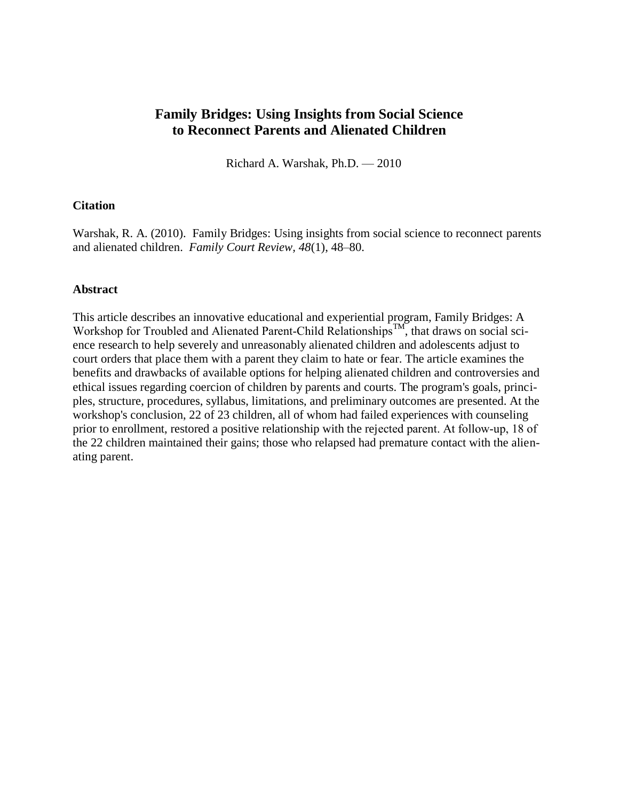# **Family Bridges: Using Insights from Social Science to Reconnect Parents and Alienated Children**

Richard A. Warshak, Ph.D. — 2010

## **Citation**

Warshak, R. A. (2010). Family Bridges: Using insights from social science to reconnect parents and alienated children. *Family Court Review, 48*(1), 48–80.

### **Abstract**

This article describes an innovative educational and experiential program, Family Bridges: A Workshop for Troubled and Alienated Parent-Child Relationships<sup>TM</sup>, that draws on social science research to help severely and unreasonably alienated children and adolescents adjust to court orders that place them with a parent they claim to hate or fear. The article examines the benefits and drawbacks of available options for helping alienated children and controversies and ethical issues regarding coercion of children by parents and courts. The program's goals, principles, structure, procedures, syllabus, limitations, and preliminary outcomes are presented. At the workshop's conclusion, 22 of 23 children, all of whom had failed experiences with counseling prior to enrollment, restored a positive relationship with the rejected parent. At follow‐up, 18 of the 22 children maintained their gains; those who relapsed had premature contact with the alienating parent.